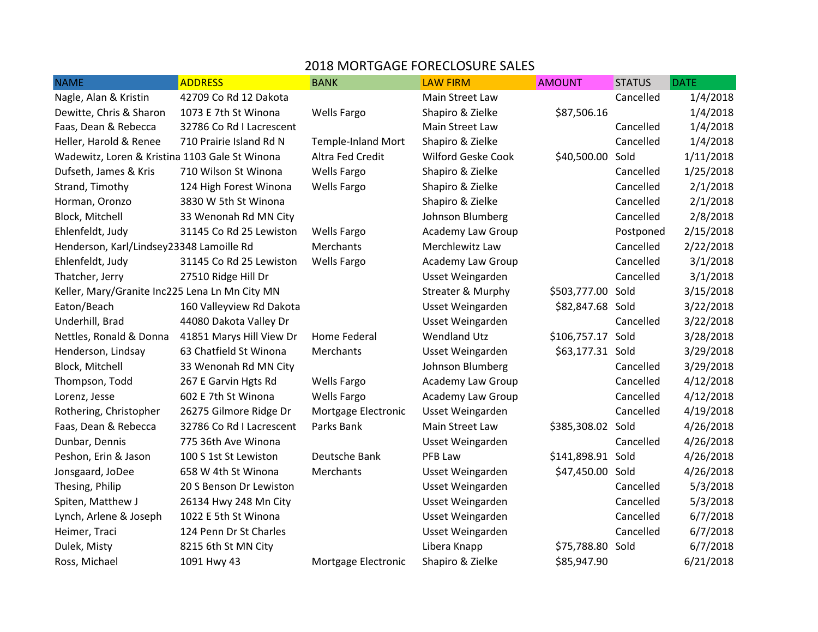## 2018 MORTGAGE FORECLOSURE SALES

| <b>NAME</b>                                    | <b>ADDRESS</b>           | <b>BANK</b>               | <b>LAW FIRM</b>           | <b>AMOUNT</b>     | <b>STATUS</b> | <b>DATE</b> |
|------------------------------------------------|--------------------------|---------------------------|---------------------------|-------------------|---------------|-------------|
| Nagle, Alan & Kristin                          | 42709 Co Rd 12 Dakota    |                           | Main Street Law           |                   | Cancelled     | 1/4/2018    |
| Dewitte, Chris & Sharon                        | 1073 E 7th St Winona     | <b>Wells Fargo</b>        | Shapiro & Zielke          | \$87,506.16       |               | 1/4/2018    |
| Faas, Dean & Rebecca                           | 32786 Co Rd I Lacrescent |                           | Main Street Law           |                   | Cancelled     | 1/4/2018    |
| Heller, Harold & Renee                         | 710 Prairie Island Rd N  | <b>Temple-Inland Mort</b> | Shapiro & Zielke          |                   | Cancelled     | 1/4/2018    |
| Wadewitz, Loren & Kristina 1103 Gale St Winona |                          | Altra Fed Credit          | <b>Wilford Geske Cook</b> | \$40,500.00       | Sold          | 1/11/2018   |
| Dufseth, James & Kris                          | 710 Wilson St Winona     | <b>Wells Fargo</b>        | Shapiro & Zielke          |                   | Cancelled     | 1/25/2018   |
| Strand, Timothy                                | 124 High Forest Winona   | <b>Wells Fargo</b>        | Shapiro & Zielke          |                   | Cancelled     | 2/1/2018    |
| Horman, Oronzo                                 | 3830 W 5th St Winona     |                           | Shapiro & Zielke          |                   | Cancelled     | 2/1/2018    |
| Block, Mitchell                                | 33 Wenonah Rd MN City    |                           | Johnson Blumberg          |                   | Cancelled     | 2/8/2018    |
| Ehlenfeldt, Judy                               | 31145 Co Rd 25 Lewiston  | <b>Wells Fargo</b>        | Academy Law Group         |                   | Postponed     | 2/15/2018   |
| Henderson, Karl/Lindsey23348 Lamoille Rd       |                          | Merchants                 | Merchlewitz Law           |                   | Cancelled     | 2/22/2018   |
| Ehlenfeldt, Judy                               | 31145 Co Rd 25 Lewiston  | <b>Wells Fargo</b>        | Academy Law Group         |                   | Cancelled     | 3/1/2018    |
| Thatcher, Jerry                                | 27510 Ridge Hill Dr      |                           | Usset Weingarden          |                   | Cancelled     | 3/1/2018    |
| Keller, Mary/Granite Inc225 Lena Ln Mn City MN |                          |                           | Streater & Murphy         | \$503,777.00      | Sold          | 3/15/2018   |
| Eaton/Beach                                    | 160 Valleyview Rd Dakota |                           | Usset Weingarden          | \$82,847.68 Sold  |               | 3/22/2018   |
| Underhill, Brad                                | 44080 Dakota Valley Dr   |                           | Usset Weingarden          |                   | Cancelled     | 3/22/2018   |
| Nettles, Ronald & Donna                        | 41851 Marys Hill View Dr | <b>Home Federal</b>       | <b>Wendland Utz</b>       | \$106,757.17      | Sold          | 3/28/2018   |
| Henderson, Lindsay                             | 63 Chatfield St Winona   | Merchants                 | Usset Weingarden          | \$63,177.31 Sold  |               | 3/29/2018   |
| Block, Mitchell                                | 33 Wenonah Rd MN City    |                           | Johnson Blumberg          |                   | Cancelled     | 3/29/2018   |
| Thompson, Todd                                 | 267 E Garvin Hgts Rd     | <b>Wells Fargo</b>        | Academy Law Group         |                   | Cancelled     | 4/12/2018   |
| Lorenz, Jesse                                  | 602 E 7th St Winona      | <b>Wells Fargo</b>        | Academy Law Group         |                   | Cancelled     | 4/12/2018   |
| Rothering, Christopher                         | 26275 Gilmore Ridge Dr   | Mortgage Electronic       | Usset Weingarden          |                   | Cancelled     | 4/19/2018   |
| Faas, Dean & Rebecca                           | 32786 Co Rd I Lacrescent | Parks Bank                | Main Street Law           | \$385,308.02      | Sold          | 4/26/2018   |
| Dunbar, Dennis                                 | 775 36th Ave Winona      |                           | Usset Weingarden          |                   | Cancelled     | 4/26/2018   |
| Peshon, Erin & Jason                           | 100 S 1st St Lewiston    | Deutsche Bank             | PFB Law                   | \$141,898.91 Sold |               | 4/26/2018   |
| Jonsgaard, JoDee                               | 658 W 4th St Winona      | Merchants                 | Usset Weingarden          | \$47,450.00 Sold  |               | 4/26/2018   |
| Thesing, Philip                                | 20 S Benson Dr Lewiston  |                           | Usset Weingarden          |                   | Cancelled     | 5/3/2018    |
| Spiten, Matthew J                              | 26134 Hwy 248 Mn City    |                           | Usset Weingarden          |                   | Cancelled     | 5/3/2018    |
| Lynch, Arlene & Joseph                         | 1022 E 5th St Winona     |                           | Usset Weingarden          |                   | Cancelled     | 6/7/2018    |
| Heimer, Traci                                  | 124 Penn Dr St Charles   |                           | Usset Weingarden          |                   | Cancelled     | 6/7/2018    |
| Dulek, Misty                                   | 8215 6th St MN City      |                           | Libera Knapp              | \$75,788.80       | Sold          | 6/7/2018    |
| Ross, Michael                                  | 1091 Hwy 43              | Mortgage Electronic       | Shapiro & Zielke          | \$85,947.90       |               | 6/21/2018   |